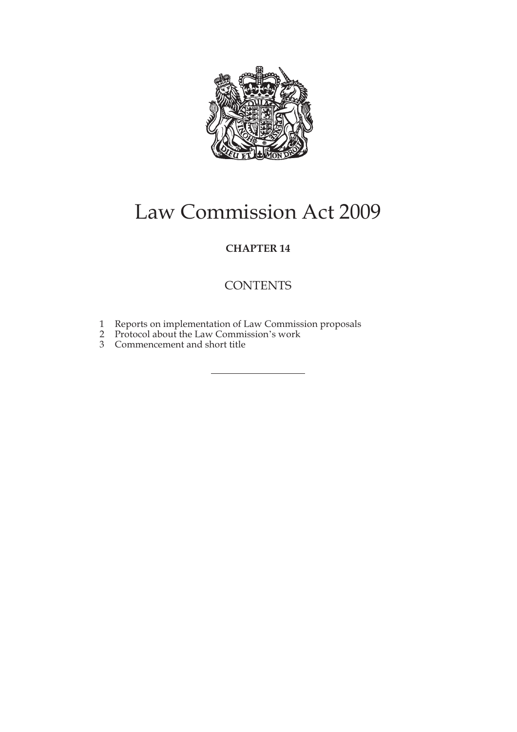

# Law Commission Act 2009

### **CHAPTER 14**

## **CONTENTS**

- 1 Reports on implementation of Law Commission proposals
- 2 Protocol about the Law Commission's work
- 3 Commencement and short title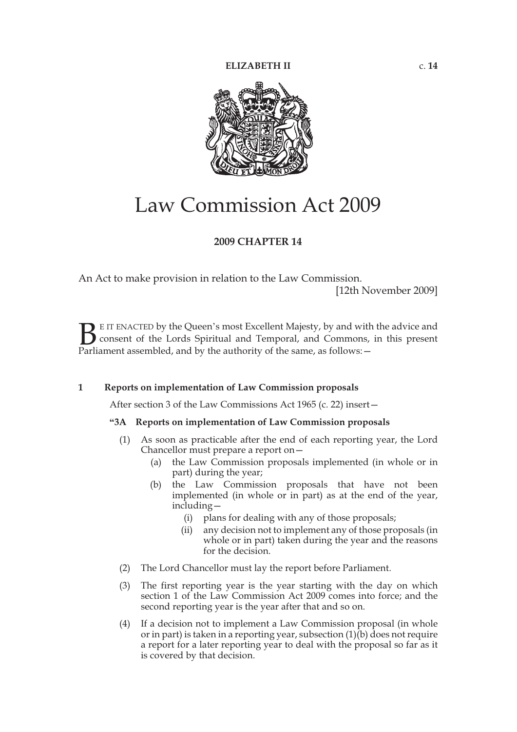

## Law Commission Act 2009

#### **2009 CHAPTER 14**

An Act to make provision in relation to the Law Commission.

[12th November 2009]

E IT ENACTED by the Queen's most Excellent Majesty, by and with the advice and consent of the Lords Spiritual and Temporal, and Commons, in this present **B** E IT ENACTED by the Queen's most Excellent Majesty, by and with consent of the Lords Spiritual and Temporal, and Commons, Parliament assembled, and by the authority of the same, as follows:  $-$ 

#### **1 Reports on implementation of Law Commission proposals**

After section 3 of the Law Commissions Act 1965 (c. 22) insert—

#### **"3A Reports on implementation of Law Commission proposals**

- (1) As soon as practicable after the end of each reporting year, the Lord Chancellor must prepare a report on—
	- (a) the Law Commission proposals implemented (in whole or in part) during the year;
	- (b) the Law Commission proposals that have not been implemented (in whole or in part) as at the end of the year, including—
		- (i) plans for dealing with any of those proposals;
		- (ii) any decision not to implement any of those proposals (in whole or in part) taken during the year and the reasons for the decision.
- (2) The Lord Chancellor must lay the report before Parliament.
- (3) The first reporting year is the year starting with the day on which section 1 of the Law Commission Act 2009 comes into force; and the second reporting year is the year after that and so on.
- (4) If a decision not to implement a Law Commission proposal (in whole or in part) is taken in a reporting year, subsection  $(1)(b)$  does not require a report for a later reporting year to deal with the proposal so far as it is covered by that decision.